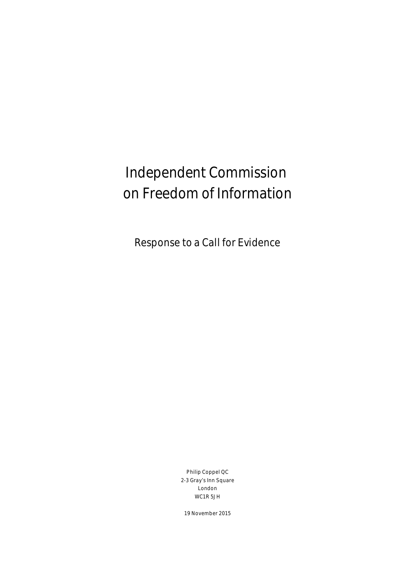# Independent Commission on Freedom of Information

Response to a Call for Evidence

Philip Coppel QC 2-3 Gray's Inn Square London WC1R 5JH

19 November 2015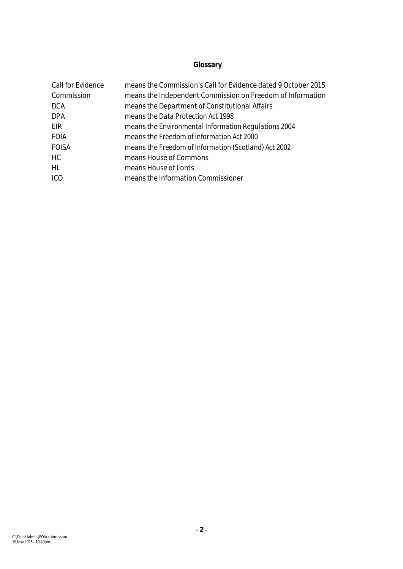# **Glossary**

| Call for Evidence | means the Commission's Call for Evidence dated 9 October 2015 |
|-------------------|---------------------------------------------------------------|
| Commission        | means the Independent Commission on Freedom of Information    |
| <b>DCA</b>        | means the Department of Constitutional Affairs                |
| <b>DPA</b>        | means the Data Protection Act 1998                            |
| EIR.              | means the Environmental Information Regulations 2004          |
| <b>FOIA</b>       | means the Freedom of Information Act 2000                     |
| <b>FOISA</b>      | means the Freedom of Information (Scotland) Act 2002          |
| <b>HC</b>         | means House of Commons                                        |
| <b>HL</b>         | means House of Lords                                          |
| <b>ICO</b>        | means the Information Commissioner                            |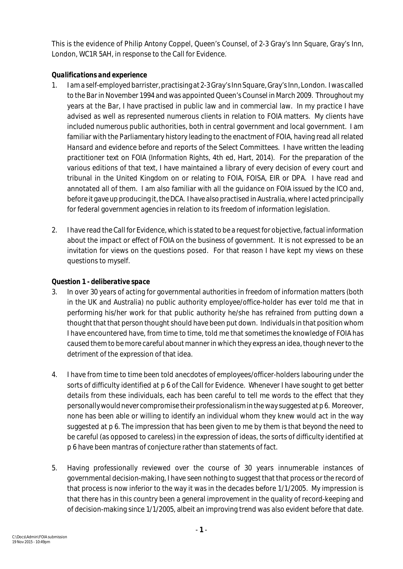This is the evidence of Philip Antony Coppel, Queen's Counsel, of 2-3 Gray's Inn Square, Gray's Inn, London, WC1R 5AH, in response to the Call for Evidence.

## *Qualifications and experience*

- 1. I am a self-employed barrister, practising at 2-3Gray's Inn Square, Gray's Inn, London. I was called to the Bar in November 1994 and was appointed Queen's Counsel in March 2009. Throughout my years at the Bar, I have practised in public law and in commercial law. In my practice I have advised as well as represented numerous clients in relation to FOIA matters. My clients have included numerous public authorities, both in central government and local government. I am familiar with the Parliamentary history leading to the enactment of FOIA, having read all related *Hansard* and evidence before and reports of the Select Committees. I have written the leading practitioner text on FOIA (*Information Rights*, 4th ed, Hart, 2014). For the preparation of the various editions of that text, I have maintained a library of every decision of every court and tribunal in the United Kingdom on or relating to FOIA, FOISA, EIR or DPA. I have read and annotated all of them. I am also familiar with all the guidance on FOIA issued by the ICO and, before it gave up producing it, the DCA. I have also practised in Australia, where I acted principally for federal government agencies in relation to its freedom of information legislation.
- 2. I have read the Call for Evidence, which is stated to be a request for objective, factual information about the impact or effect of FOIA on the business of government. It is not expressed to be an invitation for views on the questions posed. For that reason I have kept my views on these questions to myself.

# *Question 1 - deliberative space*

- 3. In over 30 years of acting for governmental authorities in freedom of information matters (both in the UK and Australia) no public authority employee/office-holder has ever told me that in performing his/her work for that public authority he/she has refrained from putting down a thought that that person thought should have been put down. Individuals in that position whom I have encountered have, from time to time, told me that sometimes the knowledge of FOIA has caused them to be more careful about manner in which they express an idea, though neverto the detriment of the expression of that idea.
- 4. I have from time to time been told anecdotes of employees/officer-holders labouring under the sorts of difficulty identified at p 6 of the Call for Evidence. Whenever I have sought to get better details from these individuals, each has been careful to tell me words to the effect that they personally would never compromise their professionalism in the way suggested at p 6. Moreover, none has been able or willing to identify an individual whom they knew would act in the way suggested at p 6. The impression that has been given to me by them is that beyond the need to be careful (as opposed to careless) in the expression of ideas, the sorts of difficulty identified at p 6 have been mantras of conjecture rather than statements of fact.
- 5. Having professionally reviewed over the course of 30 years innumerable instances of governmental decision-making, I have seen nothing to suggest that that process or the record of that process is now inferior to the way it was in the decades before 1/1/2005. My impression is that there has in this country been a general improvement in the quality of record-keeping and of decision-making since 1/1/2005, albeit an improving trend was also evident before that date.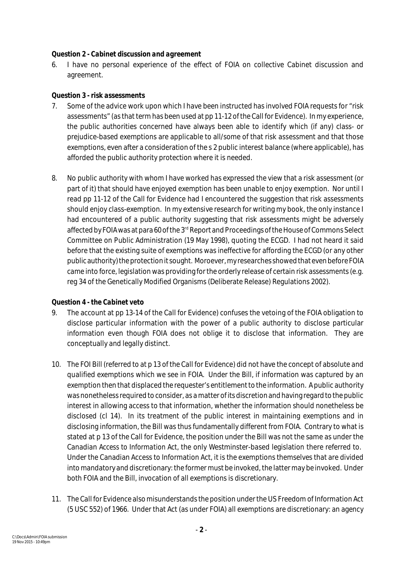#### *Question 2 - Cabinet discussion and agreement*

6. I have no personal experience of the effect of FOIA on collective Cabinet discussion and agreement.

#### *Question 3 - risk assessments*

- 7. Some of the advice work upon which I have been instructed has involved FOIA requests for "risk assessments" (as that term has been used at pp 11-12 of the Call for Evidence). In my experience, the public authorities concerned have always been able to identify which (if any) class- or prejudice-based exemptions are applicable to all/some of that risk assessment and that those exemptions, even after a consideration of the s 2 public interest balance (where applicable), has afforded the public authority protection where it is needed.
- 8. No public authority with whom I have worked has expressed the view that a risk assessment (or part of it) that should have enjoyed exemption has been unable to enjoy exemption. Nor until I read pp 11-12 of the Call for Evidence had I encountered the suggestion that risk assessments should enjoy class-exemption. In my extensive research for writing my book, the only instance I had encountered of a public authority suggesting that risk assessments might be adversely affected by FOIA was at para 60 of the 3<sup>rd</sup> Report and Proceedings of the House of Commons Select Committee on Public Administration (19 May 1998), quoting the ECGD. I had not heard it said before that the existing suite of exemptions was ineffective for affording the ECGD (or any other public authority) the protection it sought. Moroever, my researches showed that even before FOIA came into force, legislation was providing for the orderly release of certain risk assessments (e.g. reg 34 of the Genetically Modified Organisms (Deliberate Release) Regulations 2002).

#### *Question 4 - the Cabinet veto*

- 9. The account at pp 13-14 of the Call for Evidence) confuses the vetoing of the FOIA obligation to disclose particular information with the power of a public authority to disclose particular information even though FOIA does not oblige it to disclose that information. They are conceptually and legally distinct.
- 10. The FOI Bill (referred to at p 13 of the Call for Evidence) did not have the concept of absolute and qualified exemptions which we see in FOIA. Under the Bill, if information was captured by an exemption then that displaced the requester's entitlement to the information. A public authority was nonetheless required to consider, as a matter of its discretion and having regard to the public interest in allowing access to that information, whether the information should nonetheless be disclosed (cl 14). In its treatment of the public interest in maintaining exemptions and in disclosing information, the Bill was thus fundamentally different from FOIA. Contrary to what is stated at p 13 of the Call for Evidence, the position under the Bill was not the same as under the Canadian *Access to Information Act*, the only Westminster-based legislation there referred to. Under the Canadian Access to Information Act, it is the exemptions themselves that are divided into mandatory and discretionary: the former must be invoked, the latter may be invoked. Under both FOIA and the Bill, invocation of all exemptions is discretionary.
- 11. The Call for Evidence also misunderstands the position under the US Freedom of Information Act (5 USC 552) of 1966. Under that Act (as under FOIA) all exemptions are discretionary: an agency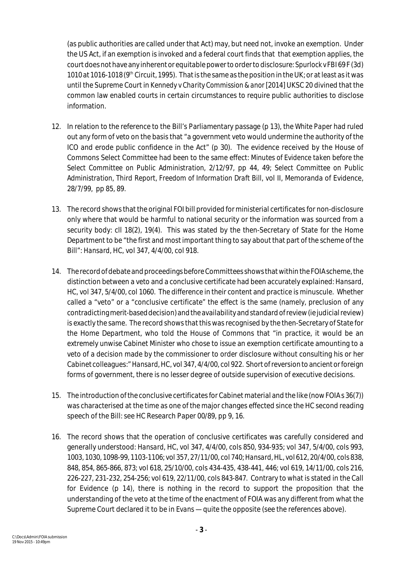(as public authorities are called under that Act) may, but need not, invoke an exemption. Under the US Act, if an exemption is invoked and a federal court finds that that exemption applies, the court does not have any inherent or equitable powerto orderto disclosure: *Spurlock v FBI* 69 F (3d) 1010 at 1016-1018 (9<sup>th</sup> Circuit, 1995). That is the same as the position in the UK; or at least as it was until the Supreme Court in *Kennedy v Charity Commission & anor* [2014] UKSC 20 divined that the common law enabled courts in certain circumstances to require public authorities to disclose information.

- 12. In relation to the reference to the Bill's Parliamentary passage (p 13), the *White Paper* had ruled out any form of veto on the basis that "a government veto would undermine the authority of the ICO and erode public confidence in the Act" (p 30). The evidence received by the House of Commons Select Committee had been to the same effect: *Minutes of Evidence taken before the Select Committee on Public Administration*, 2/12/97, pp 44, 49; *Select Committee on Public Administration, Third Report, Freedom of Information Draft Bill,* vol II, Memoranda of Evidence, 28/7/99, pp 85, 89.
- 13. The record shows that the original FOI bill provided for ministerial certificates for non-disclosure only where that would be harmful to national security or the information was sourced from a security body: cll 18(2), 19(4). This was stated by the then-Secretary of State for the Home Department to be "the first and most important thing to say about that part of the scheme of the Bill": *Hansard*, HC, vol 347, 4/4/00, col 918.
- 14. The record of debate and proceedings before Committees shows that within the FOIA scheme, the distinction between a veto and a conclusive certificate had been accurately explained: *Hansard*, HC, vol 347, 5/4/00, col 1060. The difference in their content and practice is minuscule. Whether called a "veto" or a "conclusive certificate" the effect is the same (namely, preclusion of any contradicting merit-baseddecision) and theavailability and standard of review (ie judicial review) is exactly the same. The record shows that this was recognised by the then-Secretary of State for the Home Department, who told the House of Commons that "in practice, it would be an extremely unwise Cabinet Minister who chose to issue an exemption certificate amounting to a veto of a decision made by the commissioner to order disclosure without consulting his or her Cabinet colleagues:" *Hansard*, HC, vol 347, 4/4/00, col 922. Short of reversion to ancient or foreign forms of government, there is no lesser degree of outside supervision of executive decisions.
- 15. The introduction of the conclusive certificates for Cabinet material and the like (now FOIA s 36(7)) was characterised at the time as one of the major changes effected since the HC second reading speech of the Bill: see HC Research Paper 00/89, pp 9, 16.
- 16. The record shows that the operation of conclusive certificates was carefully considered and generally understood: *Hansard*, HC, vol 347, 4/4/00, cols 850, 934-935; vol 347, 5/4/00, cols 993, 1003, 1030, 1098-99, 1103-1106; vol 357, 27/11/00, col 740; *Hansard*, HL, vol 612, 20/4/00, cols 838, 848, 854, 865-866, 873; vol 618, 25/10/00, cols 434-435, 438-441, 446; vol 619, 14/11/00, cols 216, 226-227, 231-232, 254-256; vol 619, 22/11/00, cols 843-847. Contrary to what is stated in the Call for Evidence (p 14), there is nothing in the record to support the proposition that the understanding of the veto at the time of the enactment of FOIA was any different from what the Supreme Court declared it to be in *Evans* — quite the opposite (see the references above).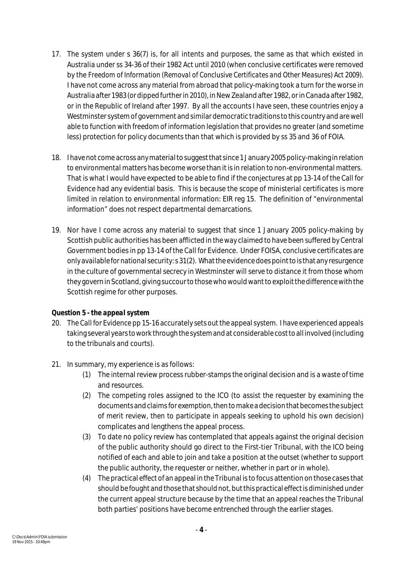- 17. The system under s 36(7) is, for all intents and purposes, the same as that which existed in Australia under ss 34-36 of their 1982 Act until 2010 (when conclusive certificates were removed by the *Freedom of Information (Removal of Conclusive Certificates and Other Measures) Act 2009*). I have not come across any material from abroad that policy-making took a turn for the worse in Australia after 1983 (ordipped furtherin 2010), in New Zealand after 1982, or in Canada after 1982, or in the Republic of Ireland after 1997. By all the accounts I have seen, these countries enjoy a Westminster system of government and similar democratic traditions to this country and are well able to function with freedom of information legislation that provides no greater (and sometime less) protection for policy documents than that which is provided by ss 35 and 36 of FOIA.
- 18. I havenot come across any material to suggest that since 1 January 2005policy-making in relation to environmental matters has become worse than it is in relation to non-environmental matters. That is what I would have expected to be able to find if the conjectures at pp 13-14 of the Call for Evidence had any evidential basis. This is because the scope of ministerial certificates is more limited in relation to environmental information: EIR reg 15. The definition of "environmental information" does not respect departmental demarcations.
- 19. Nor have I come across any material to suggest that since 1 January 2005 policy-making by Scottish public authorities has been afflicted in the way claimed to have been suffered by Central Government bodies in pp 13-14 of the Call for Evidence. Under FOISA, conclusive certificates are only available fornational security: s 31(2). What the evidencedoes point to is that any resurgence in the culture of governmental secrecy in Westminster will serve to distance it from those whom they govern in Scotland, giving succour to those who would want to exploit the difference with the Scottish regime for other purposes.

#### *Question 5 - the appeal system*

- 20. The Call for Evidence pp 15-16 accurately sets out the appeal system. I have experienced appeals taking several years to work through the system and at considerable cost to all involved (including to the tribunals and courts).
- 21. In summary, my experience is as follows:
	- (1) The internal review process rubber-stamps the original decision and is a waste of time and resources.
	- (2) The competing roles assigned to the ICO (to assist the requester by examining the documents and claims for exemption, then to make a decision that becomes the subject of merit review, then to participate in appeals seeking to uphold his own decision) complicates and lengthens the appeal process.
	- (3) To date no policy review has contemplated that appeals against the original decision of the public authority should go direct to the First-tier Tribunal, with the ICO being notified of each and able to join and take a position at the outset (whether to support the public authority, the requester or neither, whether in part or in whole).
	- (4) The practical effect of an appeal in the Tribunal is to focus attention on those cases that should be fought and those that should not, but this practical effect is diminished under the current appeal structure because by the time that an appeal reaches the Tribunal both parties' positions have become entrenched through the earlier stages.